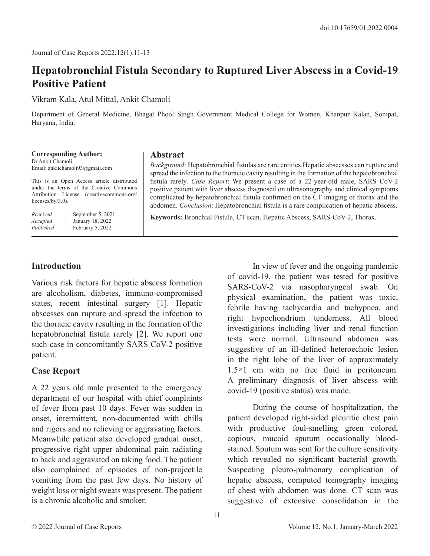# **Hepatobronchial Fistula Secondary to Ruptured Liver Abscess in a Covid-19 Positive Patient**

Vikram Kala, Atul Mittal, Ankit Chamoli

Department of General Medicine, Bhagat Phool Singh Government Medical College for Women, Khanpur Kalan, Sonipat, Haryana, India.

**Corresponding Author:** Dr Ankit Chamoli Email: ankitchamoli93@gmail.com This is an Open Access article distributed

under the terms of the Creative Commons Attribution License (creativecommons.org/ licenses/by/3.0).

*Received* : September 5, 2021 *Accepted* : January 18, 2022 *Published* : February 5, 2022

#### **Abstract**

*Background*: Hepatobronchial fistulas are rare entities.Hepatic abscesses can rupture and spread the infection to the thoracic cavity resulting in the formation of the hepatobronchial fistula rarely. *Case Report*: We present a case of a 22-year-old male, SARS CoV-2 positive patient with liver abscess diagnosed on ultrasonography and clinical symptoms complicated by hepatobronchial fistula confirmed on the CT imaging of thorax and the abdomen. *Conclusion*: Hepatobronchial fistula is a rare complication of hepatic abscess.

**Keywords:** Bronchial Fistula, CT scan, Hepatic Abscess, SARS-CoV-2, Thorax.

## **Introduction**

Various risk factors for hepatic abscess formation are alcoholism, diabetes, immuno-compromised states, recent intestinal surgery [1]. Hepatic abscesses can rupture and spread the infection to the thoracic cavity resulting in the formation of the hepatobronchial fistula rarely [2]. We report one such case in concomitantly SARS CoV-2 positive patient.

#### **Case Report**

A 22 years old male presented to the emergency department of our hospital with chief complaints of fever from past 10 days. Fever was sudden in onset, intermittent, non-documented with chills and rigors and no relieving or aggravating factors. Meanwhile patient also developed gradual onset, progressive right upper abdominal pain radiating to back and aggravated on taking food. The patient also complained of episodes of non-projectile vomiting from the past few days. No history of weight loss or night sweats was present. The patient is a chronic alcoholic and smoker.

In view of fever and the ongoing pandemic of covid-19, the patient was tested for positive SARS-CoV-2 via nasopharyngeal swab. On physical examination, the patient was toxic, febrile having tachycardia and tachypnea. and right hypochondrium tenderness. All blood investigations including liver and renal function tests were normal. Ultrasound abdomen was suggestive of an ill-defined heteroechoic lesion in the right lobe of the liver of approximately 1.5×1 cm with no free fluid in peritoneum. A preliminary diagnosis of liver abscess with covid-19 (positive status) was made.

During the course of hospitalization, the patient developed right-sided pleuritic chest pain with productive foul-smelling green colored, copious, mucoid sputum occasionally bloodstained. Sputum was sent for the culture sensitivity which revealed no significant bacterial growth. Suspecting pleuro-pulmonary complication of hepatic abscess, computed tomography imaging of chest with abdomen was done. CT scan was suggestive of extensive consolidation in the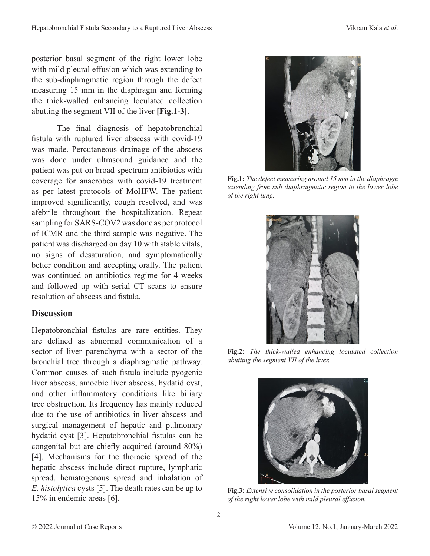posterior basal segment of the right lower lobe with mild pleural effusion which was extending to the sub-diaphragmatic region through the defect measuring 15 mm in the diaphragm and forming the thick-walled enhancing loculated collection abutting the segment VII of the liver **[Fig.1-3]**.

The final diagnosis of hepatobronchial fistula with ruptured liver abscess with covid-19 was made. Percutaneous drainage of the abscess was done under ultrasound guidance and the patient was put-on broad-spectrum antibiotics with coverage for anaerobes with covid-19 treatment as per latest protocols of MoHFW. The patient improved significantly, cough resolved, and was afebrile throughout the hospitalization. Repeat sampling for SARS-COV2 was done as per protocol of ICMR and the third sample was negative. The patient was discharged on day 10 with stable vitals, no signs of desaturation, and symptomatically better condition and accepting orally. The patient was continued on antibiotics regime for 4 weeks and followed up with serial CT scans to ensure resolution of abscess and fistula.

## **Discussion**

Hepatobronchial fistulas are rare entities. They are defined as abnormal communication of a sector of liver parenchyma with a sector of the bronchial tree through a diaphragmatic pathway. Common causes of such fistula include pyogenic liver abscess, amoebic liver abscess, hydatid cyst, and other inflammatory conditions like biliary tree obstruction. Its frequency has mainly reduced due to the use of antibiotics in liver abscess and surgical management of hepatic and pulmonary hydatid cyst [3]. Hepatobronchial fistulas can be congenital but are chiefly acquired (around 80%) [4]. Mechanisms for the thoracic spread of the hepatic abscess include direct rupture, lymphatic spread, hematogenous spread and inhalation of *E. histolytica* cysts [5]. The death rates can be up to 15% in endemic areas [6].



**Fig.1:** *The defect measuring around 15 mm in the diaphragm extending from sub diaphragmatic region to the lower lobe of the right lung.*



**Fig.2:** *The thick-walled enhancing loculated collection abutting the segment VII of the liver.*



**Fig.3:** *Extensive consolidation in the posterior basal segment of the right lower lobe with mild pleural effusion.*